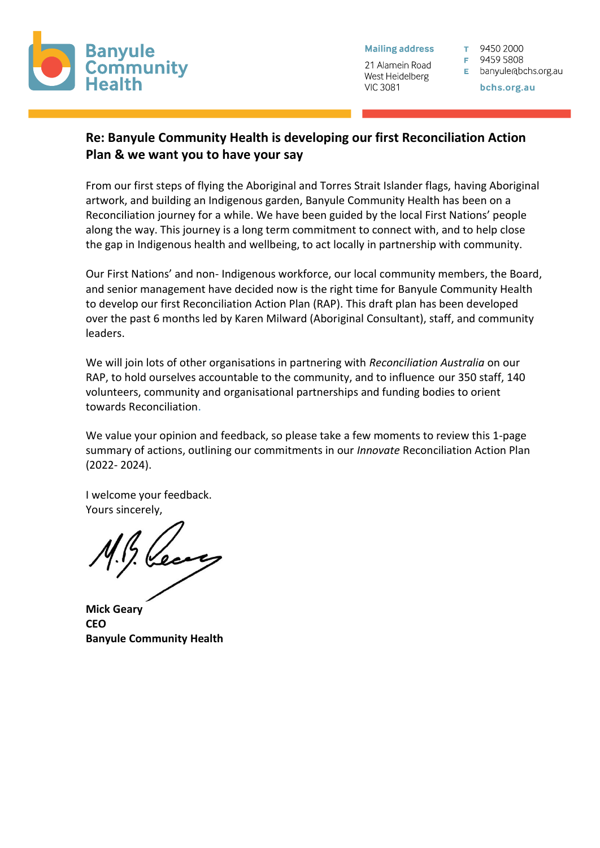

**Mailing address** 

21 Alamein Road West Heidelberg **VIC 3081** 

T 9450 2000

F 9459 5808

E banyule@bchs.org.au

bchs.org.au

# **Re: Banyule Community Health is developing our first Reconciliation Action Plan & we want you to have your say**

From our first steps of flying the Aboriginal and Torres Strait Islander flags, having Aboriginal artwork, and building an Indigenous garden, Banyule Community Health has been on a Reconciliation journey for a while. We have been guided by the local First Nations' people along the way. This journey is a long term commitment to connect with, and to help close the gap in Indigenous health and wellbeing, to act locally in partnership with community.

Our First Nations' and non- Indigenous workforce, our local community members, the Board, and senior management have decided now is the right time for Banyule Community Health to develop our first Reconciliation Action Plan (RAP). This draft plan has been developed over the past 6 months led by Karen Milward (Aboriginal Consultant), staff, and community leaders.

We will join lots of other organisations in partnering with *Reconciliation Australia* on our RAP, to hold ourselves accountable to the community, and to influence our 350 staff, 140 volunteers, community and organisational partnerships and funding bodies to orient towards Reconciliation.

We value your opinion and feedback, so please take a few moments to review this 1-page summary of actions, outlining our commitments in our *Innovate* Reconciliation Action Plan (2022- 2024).

I welcome your feedback. Yours sincerely,

**Mick Geary CEO Banyule Community Health**